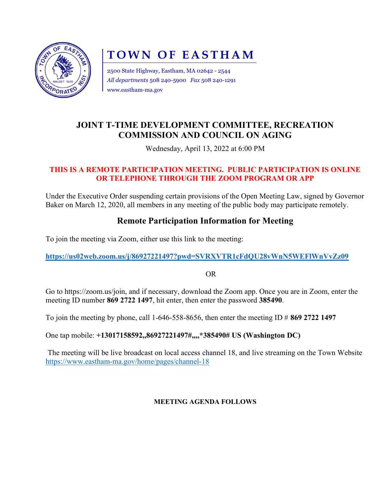

# TOWN OF EASTHAM

2500 State Highway, Eastham, MA 02642 - 2544 All departments 508 240-5900 Fax 508 240-1291 www.eastham-ma.gov

## JOINT T-TIME DEVELOPMENT COMMITTEE, RECREATION COMMISSION AND COUNCIL ON AGING

Wednesday, April 13, 2022 at 6:00 PM

#### THIS IS A REMOTE PARTICIPATION MEETING. PUBLIC PARTICIPATION IS ONLINE OR TELEPHONE THROUGH THE ZOOM PROGRAM OR APP

Under the Executive Order suspending certain provisions of the Open Meeting Law, signed by Governor Baker on March 12, 2020, all members in any meeting of the public body may participate remotely.

## Remote Participation Information for Meeting

To join the meeting via Zoom, either use this link to the meeting:

https://us02web.zoom.us/j/86927221497?pwd=SVRXVTR1cFdQU28vWnN5WEFlWnVvZz09

OR

Go to https://zoom.us/join, and if necessary, download the Zoom app. Once you are in Zoom, enter the meeting ID number 869 2722 1497, hit enter, then enter the password 385490.

To join the meeting by phone, call 1-646-558-8656, then enter the meeting ID  $\#$  869 2722 1497

One tap mobile: +13017158592,,86927221497#,,,,\*385490# US (Washington DC)

The meeting will be live broadcast on local access channel 18, and live streaming on the Town Website https://www.eastham-ma.gov/home/pages/channel-18

#### MEETING AGENDA FOLLOWS